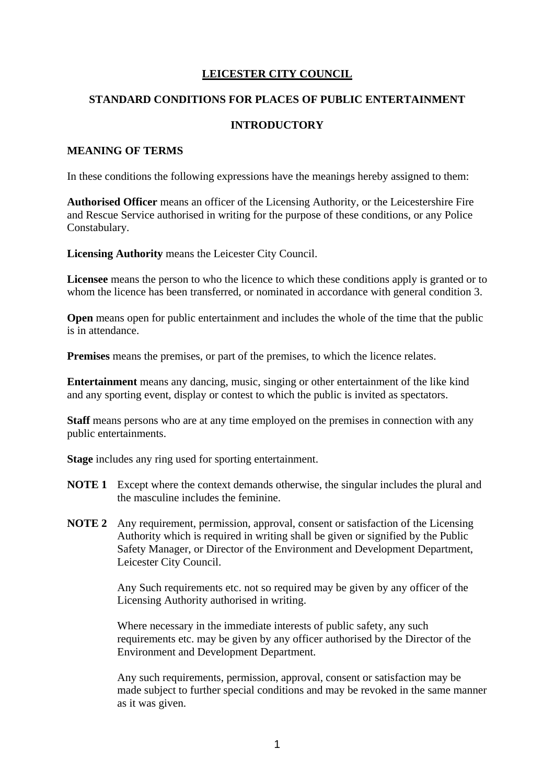## **LEICESTER CITY COUNCIL**

### **STANDARD CONDITIONS FOR PLACES OF PUBLIC ENTERTAINMENT**

### **INTRODUCTORY**

#### **MEANING OF TERMS**

In these conditions the following expressions have the meanings hereby assigned to them:

**Authorised Officer** means an officer of the Licensing Authority, or the Leicestershire Fire and Rescue Service authorised in writing for the purpose of these conditions, or any Police Constabulary.

**Licensing Authority** means the Leicester City Council.

**Licensee** means the person to who the licence to which these conditions apply is granted or to whom the licence has been transferred, or nominated in accordance with general condition 3.

**Open** means open for public entertainment and includes the whole of the time that the public is in attendance.

**Premises** means the premises, or part of the premises, to which the licence relates.

**Entertainment** means any dancing, music, singing or other entertainment of the like kind and any sporting event, display or contest to which the public is invited as spectators.

**Staff** means persons who are at any time employed on the premises in connection with any public entertainments.

**Stage** includes any ring used for sporting entertainment.

- **NOTE 1** Except where the context demands otherwise, the singular includes the plural and the masculine includes the feminine.
- **NOTE 2** Any requirement, permission, approval, consent or satisfaction of the Licensing Authority which is required in writing shall be given or signified by the Public Safety Manager, or Director of the Environment and Development Department, Leicester City Council.

Any Such requirements etc. not so required may be given by any officer of the Licensing Authority authorised in writing.

Where necessary in the immediate interests of public safety, any such requirements etc. may be given by any officer authorised by the Director of the Environment and Development Department.

Any such requirements, permission, approval, consent or satisfaction may be made subject to further special conditions and may be revoked in the same manner as it was given.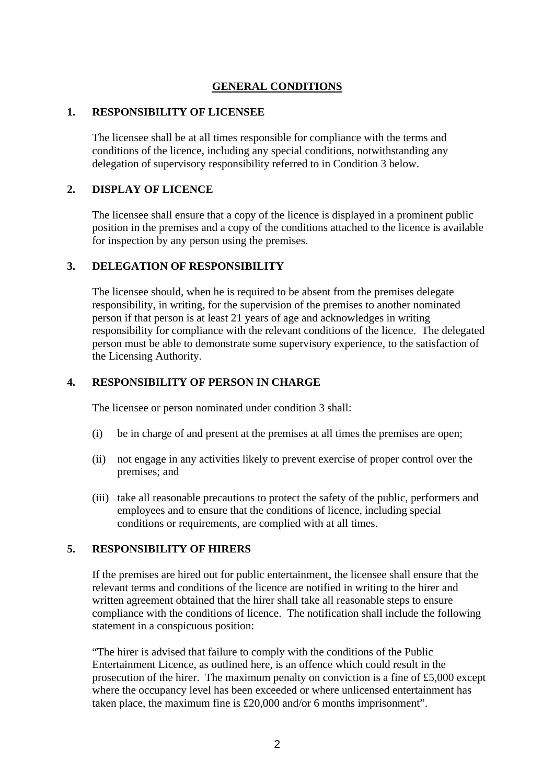## **GENERAL CONDITIONS**

#### **1. RESPONSIBILITY OF LICENSEE**

The licensee shall be at all times responsible for compliance with the terms and conditions of the licence, including any special conditions, notwithstanding any delegation of supervisory responsibility referred to in Condition 3 below.

### **2. DISPLAY OF LICENCE**

The licensee shall ensure that a copy of the licence is displayed in a prominent public position in the premises and a copy of the conditions attached to the licence is available for inspection by any person using the premises.

#### **3. DELEGATION OF RESPONSIBILITY**

The licensee should, when he is required to be absent from the premises delegate responsibility, in writing, for the supervision of the premises to another nominated person if that person is at least 21 years of age and acknowledges in writing responsibility for compliance with the relevant conditions of the licence. The delegated person must be able to demonstrate some supervisory experience, to the satisfaction of the Licensing Authority.

#### **4. RESPONSIBILITY OF PERSON IN CHARGE**

The licensee or person nominated under condition 3 shall:

- (i) be in charge of and present at the premises at all times the premises are open;
- (ii) not engage in any activities likely to prevent exercise of proper control over the premises; and
- (iii) take all reasonable precautions to protect the safety of the public, performers and employees and to ensure that the conditions of licence, including special conditions or requirements, are complied with at all times.

# **5. RESPONSIBILITY OF HIRERS**

If the premises are hired out for public entertainment, the licensee shall ensure that the relevant terms and conditions of the licence are notified in writing to the hirer and written agreement obtained that the hirer shall take all reasonable steps to ensure compliance with the conditions of licence. The notification shall include the following statement in a conspicuous position:

"The hirer is advised that failure to comply with the conditions of the Public Entertainment Licence, as outlined here, is an offence which could result in the prosecution of the hirer. The maximum penalty on conviction is a fine of £5,000 except where the occupancy level has been exceeded or where unlicensed entertainment has taken place, the maximum fine is £20,000 and/or 6 months imprisonment".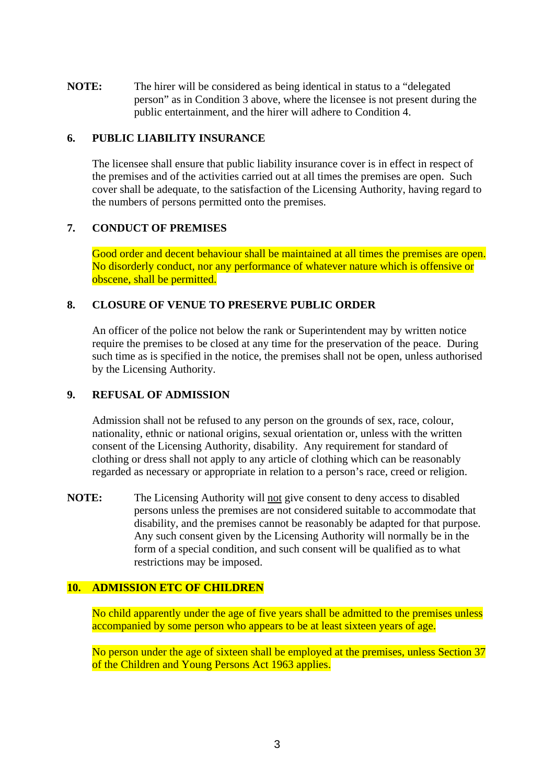**NOTE:** The hirer will be considered as being identical in status to a "delegated person" as in Condition 3 above, where the licensee is not present during the public entertainment, and the hirer will adhere to Condition 4.

### **6. PUBLIC LIABILITY INSURANCE**

The licensee shall ensure that public liability insurance cover is in effect in respect of the premises and of the activities carried out at all times the premises are open. Such cover shall be adequate, to the satisfaction of the Licensing Authority, having regard to the numbers of persons permitted onto the premises.

### **7. CONDUCT OF PREMISES**

Good order and decent behaviour shall be maintained at all times the premises are open. No disorderly conduct, nor any performance of whatever nature which is offensive or obscene, shall be permitted.

#### **8. CLOSURE OF VENUE TO PRESERVE PUBLIC ORDER**

An officer of the police not below the rank or Superintendent may by written notice require the premises to be closed at any time for the preservation of the peace. During such time as is specified in the notice, the premises shall not be open, unless authorised by the Licensing Authority.

### **9. REFUSAL OF ADMISSION**

Admission shall not be refused to any person on the grounds of sex, race, colour, nationality, ethnic or national origins, sexual orientation or, unless with the written consent of the Licensing Authority, disability. Any requirement for standard of clothing or dress shall not apply to any article of clothing which can be reasonably regarded as necessary or appropriate in relation to a person's race, creed or religion.

**NOTE:** The Licensing Authority will not give consent to deny access to disabled persons unless the premises are not considered suitable to accommodate that disability, and the premises cannot be reasonably be adapted for that purpose. Any such consent given by the Licensing Authority will normally be in the form of a special condition, and such consent will be qualified as to what restrictions may be imposed.

#### **10. ADMISSION ETC OF CHILDREN**

No child apparently under the age of five years shall be admitted to the premises unless accompanied by some person who appears to be at least sixteen years of age.

No person under the age of sixteen shall be employed at the premises, unless Section 37 of the Children and Young Persons Act 1963 applies.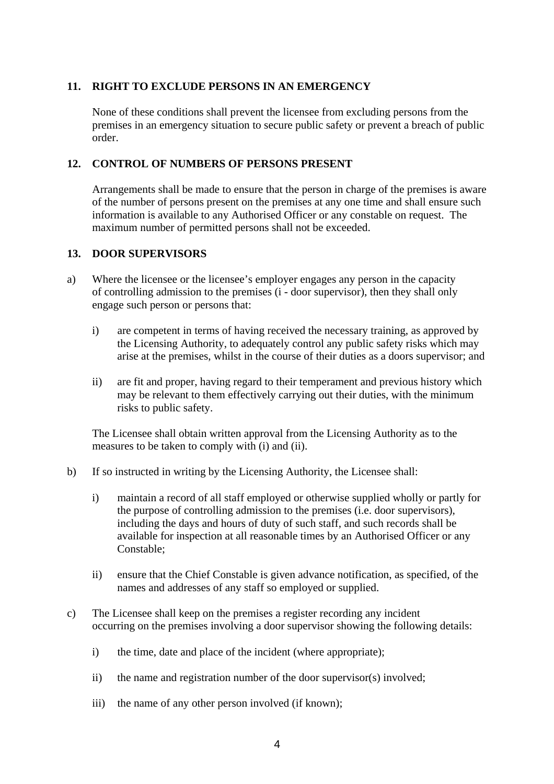### **11. RIGHT TO EXCLUDE PERSONS IN AN EMERGENCY**

None of these conditions shall prevent the licensee from excluding persons from the premises in an emergency situation to secure public safety or prevent a breach of public order.

### **12. CONTROL OF NUMBERS OF PERSONS PRESENT**

Arrangements shall be made to ensure that the person in charge of the premises is aware of the number of persons present on the premises at any one time and shall ensure such information is available to any Authorised Officer or any constable on request. The maximum number of permitted persons shall not be exceeded.

#### **13. DOOR SUPERVISORS**

- a) Where the licensee or the licensee's employer engages any person in the capacity of controlling admission to the premises (i - door supervisor), then they shall only engage such person or persons that:
	- i) are competent in terms of having received the necessary training, as approved by the Licensing Authority, to adequately control any public safety risks which may arise at the premises, whilst in the course of their duties as a doors supervisor; and
	- ii) are fit and proper, having regard to their temperament and previous history which may be relevant to them effectively carrying out their duties, with the minimum risks to public safety.

The Licensee shall obtain written approval from the Licensing Authority as to the measures to be taken to comply with (i) and (ii).

- b) If so instructed in writing by the Licensing Authority, the Licensee shall:
	- i) maintain a record of all staff employed or otherwise supplied wholly or partly for the purpose of controlling admission to the premises (i.e. door supervisors), including the days and hours of duty of such staff, and such records shall be available for inspection at all reasonable times by an Authorised Officer or any Constable;
	- ii) ensure that the Chief Constable is given advance notification, as specified, of the names and addresses of any staff so employed or supplied.
- c) The Licensee shall keep on the premises a register recording any incident occurring on the premises involving a door supervisor showing the following details:
	- i) the time, date and place of the incident (where appropriate);
	- ii) the name and registration number of the door supervisor(s) involved;
	- iii) the name of any other person involved (if known);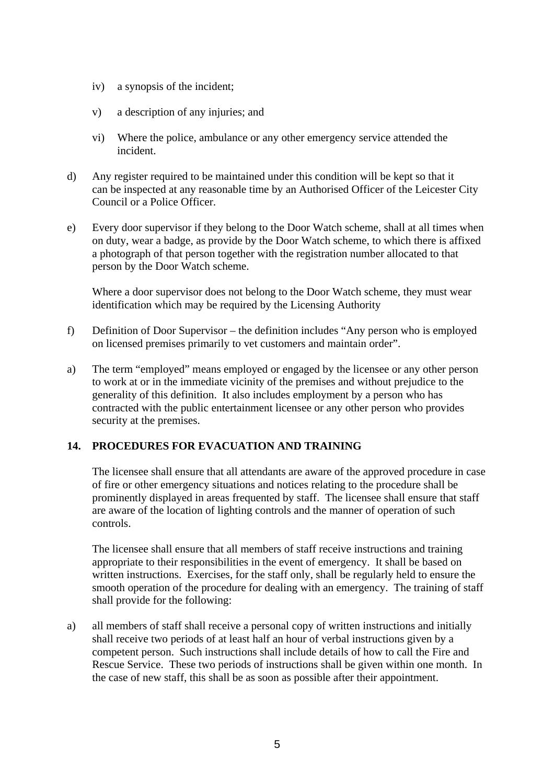- iv) a synopsis of the incident;
- v) a description of any injuries; and
- vi) Where the police, ambulance or any other emergency service attended the incident.
- d) Any register required to be maintained under this condition will be kept so that it can be inspected at any reasonable time by an Authorised Officer of the Leicester City Council or a Police Officer.
- e) Every door supervisor if they belong to the Door Watch scheme, shall at all times when on duty, wear a badge, as provide by the Door Watch scheme, to which there is affixed a photograph of that person together with the registration number allocated to that person by the Door Watch scheme.

Where a door supervisor does not belong to the Door Watch scheme, they must wear identification which may be required by the Licensing Authority

- f) Definition of Door Supervisor the definition includes "Any person who is employed on licensed premises primarily to vet customers and maintain order".
- a) The term "employed" means employed or engaged by the licensee or any other person to work at or in the immediate vicinity of the premises and without prejudice to the generality of this definition. It also includes employment by a person who has contracted with the public entertainment licensee or any other person who provides security at the premises.

## **14. PROCEDURES FOR EVACUATION AND TRAINING**

The licensee shall ensure that all attendants are aware of the approved procedure in case of fire or other emergency situations and notices relating to the procedure shall be prominently displayed in areas frequented by staff. The licensee shall ensure that staff are aware of the location of lighting controls and the manner of operation of such controls.

The licensee shall ensure that all members of staff receive instructions and training appropriate to their responsibilities in the event of emergency. It shall be based on written instructions. Exercises, for the staff only, shall be regularly held to ensure the smooth operation of the procedure for dealing with an emergency. The training of staff shall provide for the following:

a) all members of staff shall receive a personal copy of written instructions and initially shall receive two periods of at least half an hour of verbal instructions given by a competent person. Such instructions shall include details of how to call the Fire and Rescue Service. These two periods of instructions shall be given within one month. In the case of new staff, this shall be as soon as possible after their appointment.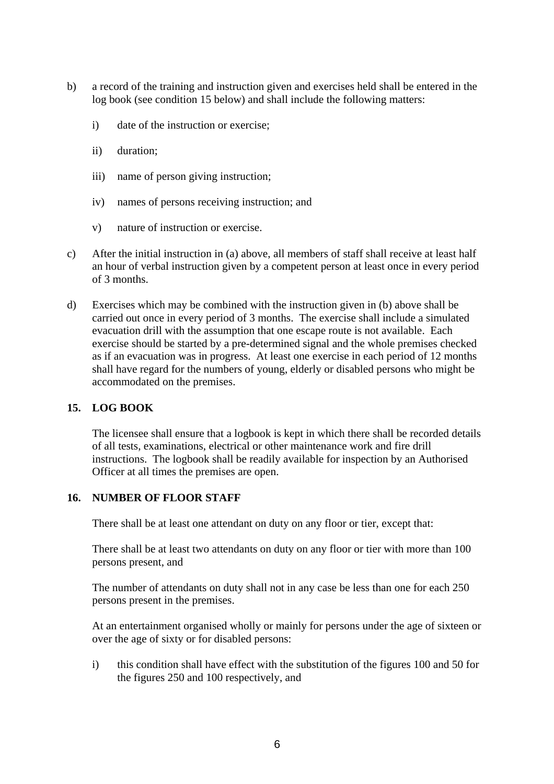- b) a record of the training and instruction given and exercises held shall be entered in the log book (see condition 15 below) and shall include the following matters:
	- i) date of the instruction or exercise;
	- ii) duration;
	- iii) name of person giving instruction;
	- iv) names of persons receiving instruction; and
	- v) nature of instruction or exercise.
- c) After the initial instruction in (a) above, all members of staff shall receive at least half an hour of verbal instruction given by a competent person at least once in every period of 3 months.
- d) Exercises which may be combined with the instruction given in (b) above shall be carried out once in every period of 3 months. The exercise shall include a simulated evacuation drill with the assumption that one escape route is not available. Each exercise should be started by a pre-determined signal and the whole premises checked as if an evacuation was in progress. At least one exercise in each period of 12 months shall have regard for the numbers of young, elderly or disabled persons who might be accommodated on the premises.

## **15. LOG BOOK**

The licensee shall ensure that a logbook is kept in which there shall be recorded details of all tests, examinations, electrical or other maintenance work and fire drill instructions. The logbook shall be readily available for inspection by an Authorised Officer at all times the premises are open.

## **16. NUMBER OF FLOOR STAFF**

There shall be at least one attendant on duty on any floor or tier, except that:

There shall be at least two attendants on duty on any floor or tier with more than 100 persons present, and

The number of attendants on duty shall not in any case be less than one for each 250 persons present in the premises.

At an entertainment organised wholly or mainly for persons under the age of sixteen or over the age of sixty or for disabled persons:

i) this condition shall have effect with the substitution of the figures 100 and 50 for the figures 250 and 100 respectively, and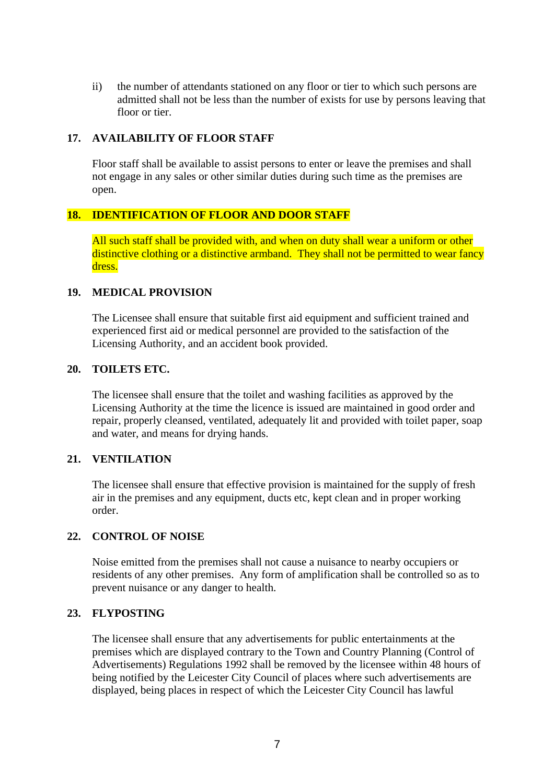ii) the number of attendants stationed on any floor or tier to which such persons are admitted shall not be less than the number of exists for use by persons leaving that floor or tier.

## **17. AVAILABILITY OF FLOOR STAFF**

Floor staff shall be available to assist persons to enter or leave the premises and shall not engage in any sales or other similar duties during such time as the premises are open.

# **18. IDENTIFICATION OF FLOOR AND DOOR STAFF**

All such staff shall be provided with, and when on duty shall wear a uniform or other distinctive clothing or a distinctive armband. They shall not be permitted to wear fancy dress.

## **19. MEDICAL PROVISION**

The Licensee shall ensure that suitable first aid equipment and sufficient trained and experienced first aid or medical personnel are provided to the satisfaction of the Licensing Authority, and an accident book provided.

## **20. TOILETS ETC.**

The licensee shall ensure that the toilet and washing facilities as approved by the Licensing Authority at the time the licence is issued are maintained in good order and repair, properly cleansed, ventilated, adequately lit and provided with toilet paper, soap and water, and means for drying hands.

## **21. VENTILATION**

The licensee shall ensure that effective provision is maintained for the supply of fresh air in the premises and any equipment, ducts etc, kept clean and in proper working order.

## **22. CONTROL OF NOISE**

Noise emitted from the premises shall not cause a nuisance to nearby occupiers or residents of any other premises. Any form of amplification shall be controlled so as to prevent nuisance or any danger to health.

## **23. FLYPOSTING**

The licensee shall ensure that any advertisements for public entertainments at the premises which are displayed contrary to the Town and Country Planning (Control of Advertisements) Regulations 1992 shall be removed by the licensee within 48 hours of being notified by the Leicester City Council of places where such advertisements are displayed, being places in respect of which the Leicester City Council has lawful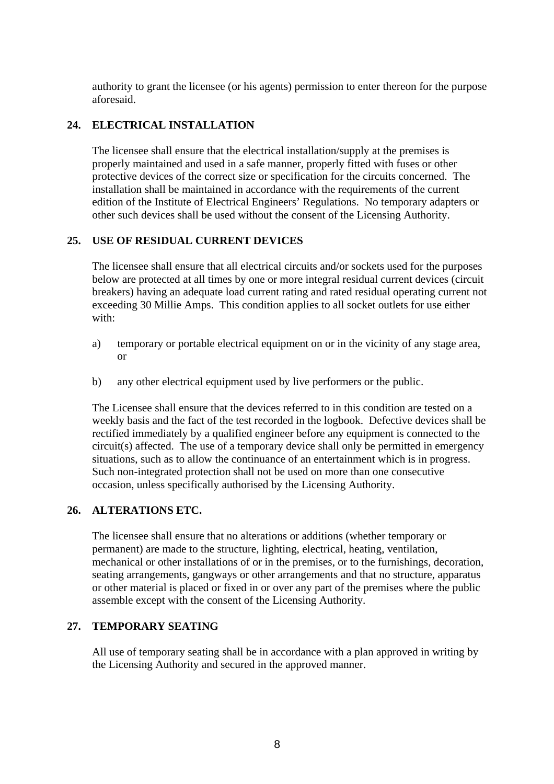authority to grant the licensee (or his agents) permission to enter thereon for the purpose aforesaid.

# **24. ELECTRICAL INSTALLATION**

 The licensee shall ensure that the electrical installation/supply at the premises is properly maintained and used in a safe manner, properly fitted with fuses or other protective devices of the correct size or specification for the circuits concerned. The installation shall be maintained in accordance with the requirements of the current edition of the Institute of Electrical Engineers' Regulations. No temporary adapters or other such devices shall be used without the consent of the Licensing Authority.

## **25. USE OF RESIDUAL CURRENT DEVICES**

The licensee shall ensure that all electrical circuits and/or sockets used for the purposes below are protected at all times by one or more integral residual current devices (circuit breakers) having an adequate load current rating and rated residual operating current not exceeding 30 Millie Amps. This condition applies to all socket outlets for use either with:

- a) temporary or portable electrical equipment on or in the vicinity of any stage area, or
- b) any other electrical equipment used by live performers or the public.

The Licensee shall ensure that the devices referred to in this condition are tested on a weekly basis and the fact of the test recorded in the logbook. Defective devices shall be rectified immediately by a qualified engineer before any equipment is connected to the circuit(s) affected. The use of a temporary device shall only be permitted in emergency situations, such as to allow the continuance of an entertainment which is in progress. Such non-integrated protection shall not be used on more than one consecutive occasion, unless specifically authorised by the Licensing Authority.

## **26. ALTERATIONS ETC.**

The licensee shall ensure that no alterations or additions (whether temporary or permanent) are made to the structure, lighting, electrical, heating, ventilation, mechanical or other installations of or in the premises, or to the furnishings, decoration, seating arrangements, gangways or other arrangements and that no structure, apparatus or other material is placed or fixed in or over any part of the premises where the public assemble except with the consent of the Licensing Authority.

## **27. TEMPORARY SEATING**

All use of temporary seating shall be in accordance with a plan approved in writing by the Licensing Authority and secured in the approved manner.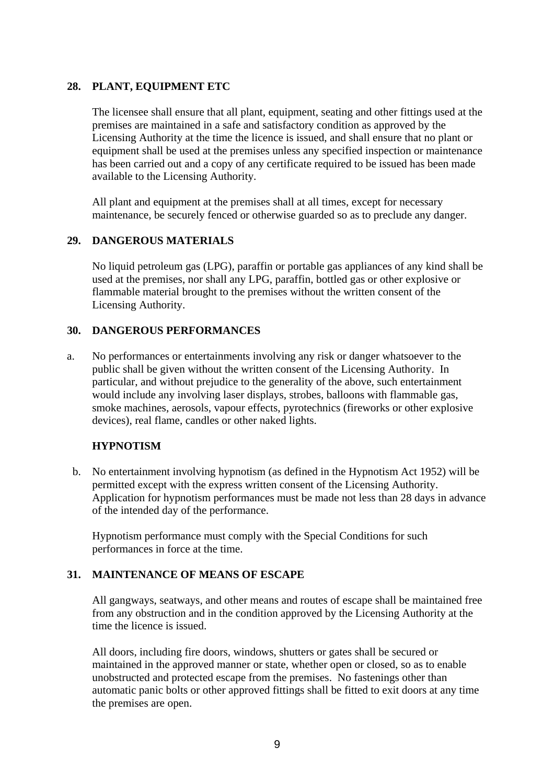### **28. PLANT, EQUIPMENT ETC**

The licensee shall ensure that all plant, equipment, seating and other fittings used at the premises are maintained in a safe and satisfactory condition as approved by the Licensing Authority at the time the licence is issued, and shall ensure that no plant or equipment shall be used at the premises unless any specified inspection or maintenance has been carried out and a copy of any certificate required to be issued has been made available to the Licensing Authority.

All plant and equipment at the premises shall at all times, except for necessary maintenance, be securely fenced or otherwise guarded so as to preclude any danger.

### **29. DANGEROUS MATERIALS**

No liquid petroleum gas (LPG), paraffin or portable gas appliances of any kind shall be used at the premises, nor shall any LPG, paraffin, bottled gas or other explosive or flammable material brought to the premises without the written consent of the Licensing Authority.

### **30. DANGEROUS PERFORMANCES**

 a. No performances or entertainments involving any risk or danger whatsoever to the public shall be given without the written consent of the Licensing Authority. In particular, and without prejudice to the generality of the above, such entertainment would include any involving laser displays, strobes, balloons with flammable gas, smoke machines, aerosols, vapour effects, pyrotechnics (fireworks or other explosive devices), real flame, candles or other naked lights.

#### **HYPNOTISM**

b. No entertainment involving hypnotism (as defined in the Hypnotism Act 1952) will be permitted except with the express written consent of the Licensing Authority. Application for hypnotism performances must be made not less than 28 days in advance of the intended day of the performance.

Hypnotism performance must comply with the Special Conditions for such performances in force at the time.

## **31. MAINTENANCE OF MEANS OF ESCAPE**

All gangways, seatways, and other means and routes of escape shall be maintained free from any obstruction and in the condition approved by the Licensing Authority at the time the licence is issued.

All doors, including fire doors, windows, shutters or gates shall be secured or maintained in the approved manner or state, whether open or closed, so as to enable unobstructed and protected escape from the premises. No fastenings other than automatic panic bolts or other approved fittings shall be fitted to exit doors at any time the premises are open.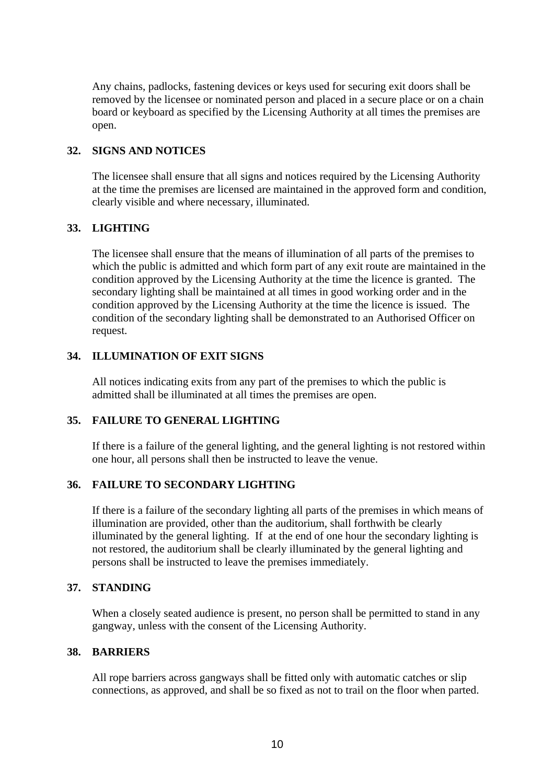Any chains, padlocks, fastening devices or keys used for securing exit doors shall be removed by the licensee or nominated person and placed in a secure place or on a chain board or keyboard as specified by the Licensing Authority at all times the premises are open.

### **32. SIGNS AND NOTICES**

The licensee shall ensure that all signs and notices required by the Licensing Authority at the time the premises are licensed are maintained in the approved form and condition, clearly visible and where necessary, illuminated.

## **33. LIGHTING**

The licensee shall ensure that the means of illumination of all parts of the premises to which the public is admitted and which form part of any exit route are maintained in the condition approved by the Licensing Authority at the time the licence is granted. The secondary lighting shall be maintained at all times in good working order and in the condition approved by the Licensing Authority at the time the licence is issued. The condition of the secondary lighting shall be demonstrated to an Authorised Officer on request.

## **34. ILLUMINATION OF EXIT SIGNS**

All notices indicating exits from any part of the premises to which the public is admitted shall be illuminated at all times the premises are open.

#### **35. FAILURE TO GENERAL LIGHTING**

If there is a failure of the general lighting, and the general lighting is not restored within one hour, all persons shall then be instructed to leave the venue.

## **36. FAILURE TO SECONDARY LIGHTING**

If there is a failure of the secondary lighting all parts of the premises in which means of illumination are provided, other than the auditorium, shall forthwith be clearly illuminated by the general lighting. If at the end of one hour the secondary lighting is not restored, the auditorium shall be clearly illuminated by the general lighting and persons shall be instructed to leave the premises immediately.

## **37. STANDING**

When a closely seated audience is present, no person shall be permitted to stand in any gangway, unless with the consent of the Licensing Authority.

#### **38. BARRIERS**

All rope barriers across gangways shall be fitted only with automatic catches or slip connections, as approved, and shall be so fixed as not to trail on the floor when parted.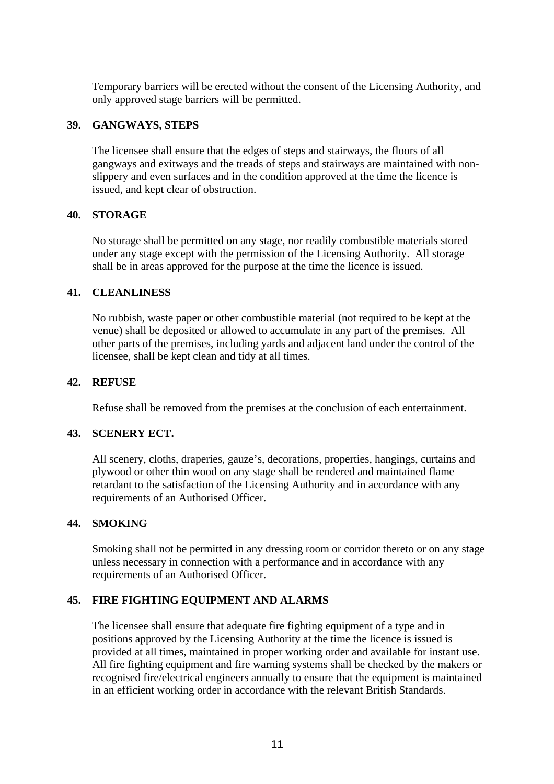Temporary barriers will be erected without the consent of the Licensing Authority, and only approved stage barriers will be permitted.

### **39. GANGWAYS, STEPS**

The licensee shall ensure that the edges of steps and stairways, the floors of all gangways and exitways and the treads of steps and stairways are maintained with nonslippery and even surfaces and in the condition approved at the time the licence is issued, and kept clear of obstruction.

### **40. STORAGE**

No storage shall be permitted on any stage, nor readily combustible materials stored under any stage except with the permission of the Licensing Authority. All storage shall be in areas approved for the purpose at the time the licence is issued.

### **41. CLEANLINESS**

No rubbish, waste paper or other combustible material (not required to be kept at the venue) shall be deposited or allowed to accumulate in any part of the premises. All other parts of the premises, including yards and adjacent land under the control of the licensee, shall be kept clean and tidy at all times.

### **42. REFUSE**

Refuse shall be removed from the premises at the conclusion of each entertainment.

### **43. SCENERY ECT.**

All scenery, cloths, draperies, gauze's, decorations, properties, hangings, curtains and plywood or other thin wood on any stage shall be rendered and maintained flame retardant to the satisfaction of the Licensing Authority and in accordance with any requirements of an Authorised Officer.

#### **44. SMOKING**

Smoking shall not be permitted in any dressing room or corridor thereto or on any stage unless necessary in connection with a performance and in accordance with any requirements of an Authorised Officer.

## **45. FIRE FIGHTING EQUIPMENT AND ALARMS**

The licensee shall ensure that adequate fire fighting equipment of a type and in positions approved by the Licensing Authority at the time the licence is issued is provided at all times, maintained in proper working order and available for instant use. All fire fighting equipment and fire warning systems shall be checked by the makers or recognised fire/electrical engineers annually to ensure that the equipment is maintained in an efficient working order in accordance with the relevant British Standards.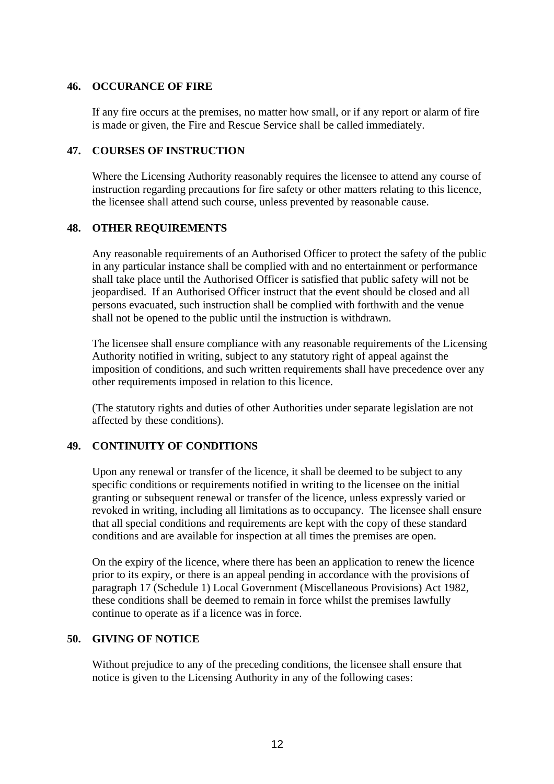#### **46. OCCURANCE OF FIRE**

If any fire occurs at the premises, no matter how small, or if any report or alarm of fire is made or given, the Fire and Rescue Service shall be called immediately.

#### **47. COURSES OF INSTRUCTION**

Where the Licensing Authority reasonably requires the licensee to attend any course of instruction regarding precautions for fire safety or other matters relating to this licence, the licensee shall attend such course, unless prevented by reasonable cause.

#### **48. OTHER REQUIREMENTS**

Any reasonable requirements of an Authorised Officer to protect the safety of the public in any particular instance shall be complied with and no entertainment or performance shall take place until the Authorised Officer is satisfied that public safety will not be jeopardised. If an Authorised Officer instruct that the event should be closed and all persons evacuated, such instruction shall be complied with forthwith and the venue shall not be opened to the public until the instruction is withdrawn.

The licensee shall ensure compliance with any reasonable requirements of the Licensing Authority notified in writing, subject to any statutory right of appeal against the imposition of conditions, and such written requirements shall have precedence over any other requirements imposed in relation to this licence.

(The statutory rights and duties of other Authorities under separate legislation are not affected by these conditions).

#### **49. CONTINUITY OF CONDITIONS**

Upon any renewal or transfer of the licence, it shall be deemed to be subject to any specific conditions or requirements notified in writing to the licensee on the initial granting or subsequent renewal or transfer of the licence, unless expressly varied or revoked in writing, including all limitations as to occupancy. The licensee shall ensure that all special conditions and requirements are kept with the copy of these standard conditions and are available for inspection at all times the premises are open.

On the expiry of the licence, where there has been an application to renew the licence prior to its expiry, or there is an appeal pending in accordance with the provisions of paragraph 17 (Schedule 1) Local Government (Miscellaneous Provisions) Act 1982, these conditions shall be deemed to remain in force whilst the premises lawfully continue to operate as if a licence was in force.

### **50. GIVING OF NOTICE**

Without prejudice to any of the preceding conditions, the licensee shall ensure that notice is given to the Licensing Authority in any of the following cases: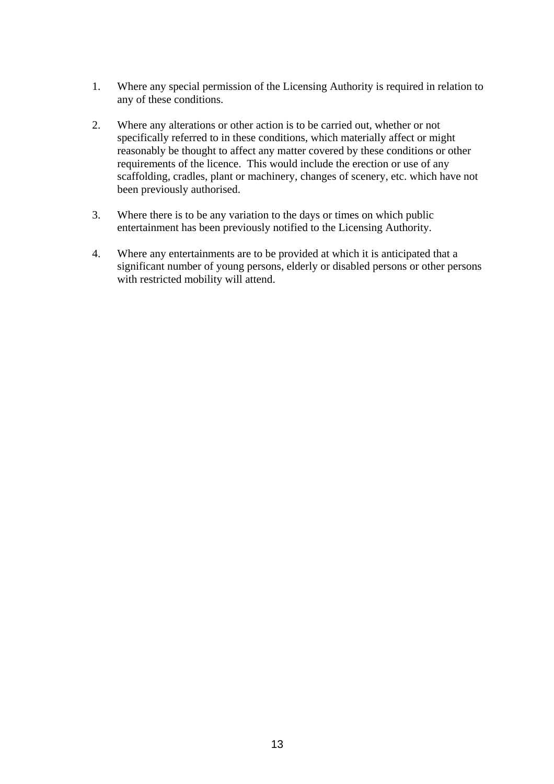- 1. Where any special permission of the Licensing Authority is required in relation to any of these conditions.
- 2. Where any alterations or other action is to be carried out, whether or not specifically referred to in these conditions, which materially affect or might reasonably be thought to affect any matter covered by these conditions or other requirements of the licence. This would include the erection or use of any scaffolding, cradles, plant or machinery, changes of scenery, etc. which have not been previously authorised.
- 3. Where there is to be any variation to the days or times on which public entertainment has been previously notified to the Licensing Authority.
- 4. Where any entertainments are to be provided at which it is anticipated that a significant number of young persons, elderly or disabled persons or other persons with restricted mobility will attend.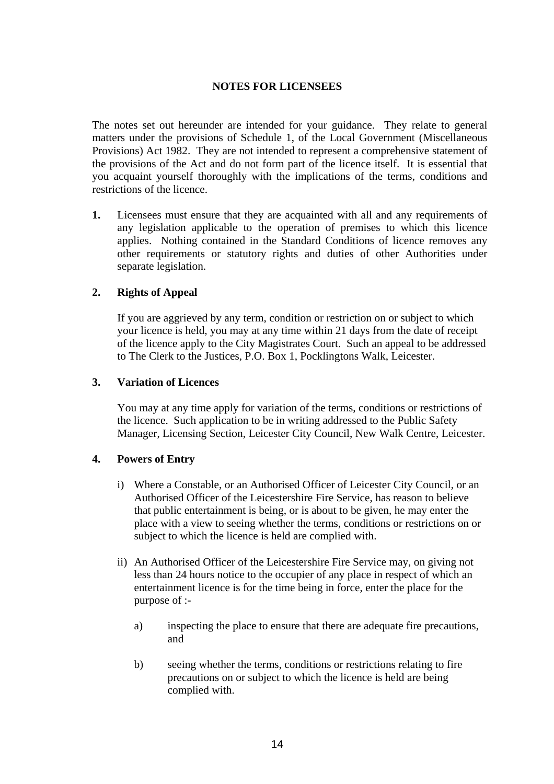### **NOTES FOR LICENSEES**

The notes set out hereunder are intended for your guidance. They relate to general matters under the provisions of Schedule 1, of the Local Government (Miscellaneous Provisions) Act 1982. They are not intended to represent a comprehensive statement of the provisions of the Act and do not form part of the licence itself. It is essential that you acquaint yourself thoroughly with the implications of the terms, conditions and restrictions of the licence.

**1.** Licensees must ensure that they are acquainted with all and any requirements of any legislation applicable to the operation of premises to which this licence applies. Nothing contained in the Standard Conditions of licence removes any other requirements or statutory rights and duties of other Authorities under separate legislation.

### **2. Rights of Appeal**

If you are aggrieved by any term, condition or restriction on or subject to which your licence is held, you may at any time within 21 days from the date of receipt of the licence apply to the City Magistrates Court. Such an appeal to be addressed to The Clerk to the Justices, P.O. Box 1, Pocklingtons Walk, Leicester.

#### **3. Variation of Licences**

You may at any time apply for variation of the terms, conditions or restrictions of the licence. Such application to be in writing addressed to the Public Safety Manager, Licensing Section, Leicester City Council, New Walk Centre, Leicester.

#### **4. Powers of Entry**

- i) Where a Constable, or an Authorised Officer of Leicester City Council, or an Authorised Officer of the Leicestershire Fire Service, has reason to believe that public entertainment is being, or is about to be given, he may enter the place with a view to seeing whether the terms, conditions or restrictions on or subject to which the licence is held are complied with.
- ii) An Authorised Officer of the Leicestershire Fire Service may, on giving not less than 24 hours notice to the occupier of any place in respect of which an entertainment licence is for the time being in force, enter the place for the purpose of :
	- a) inspecting the place to ensure that there are adequate fire precautions, and
	- b) seeing whether the terms, conditions or restrictions relating to fire precautions on or subject to which the licence is held are being complied with.